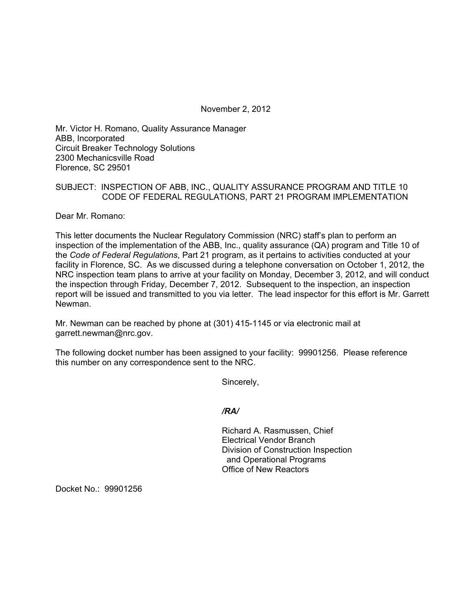November 2, 2012

Mr. Victor H. Romano, Quality Assurance Manager ABB, Incorporated Circuit Breaker Technology Solutions 2300 Mechanicsville Road Florence, SC 29501

## SUBJECT: INSPECTION OF ABB, INC., QUALITY ASSURANCE PROGRAM AND TITLE 10 CODE OF FEDERAL REGULATIONS, PART 21 PROGRAM IMPLEMENTATION

Dear Mr. Romano:

This letter documents the Nuclear Regulatory Commission (NRC) staff's plan to perform an inspection of the implementation of the ABB, Inc., quality assurance (QA) program and Title 10 of the *Code of Federal Regulations*, Part 21 program, as it pertains to activities conducted at your facility in Florence, SC. As we discussed during a telephone conversation on October 1, 2012, the NRC inspection team plans to arrive at your facility on Monday, December 3, 2012, and will conduct the inspection through Friday, December 7, 2012. Subsequent to the inspection, an inspection report will be issued and transmitted to you via letter. The lead inspector for this effort is Mr. Garrett Newman.

Mr. Newman can be reached by phone at (301) 415-1145 or via electronic mail at garrett.newman@nrc.gov.

The following docket number has been assigned to your facility: 99901256. Please reference this number on any correspondence sent to the NRC.

Sincerely,

*/RA/* 

Richard A. Rasmussen, Chief Electrical Vendor Branch Division of Construction Inspection and Operational Programs Office of New Reactors

Docket No.: 99901256